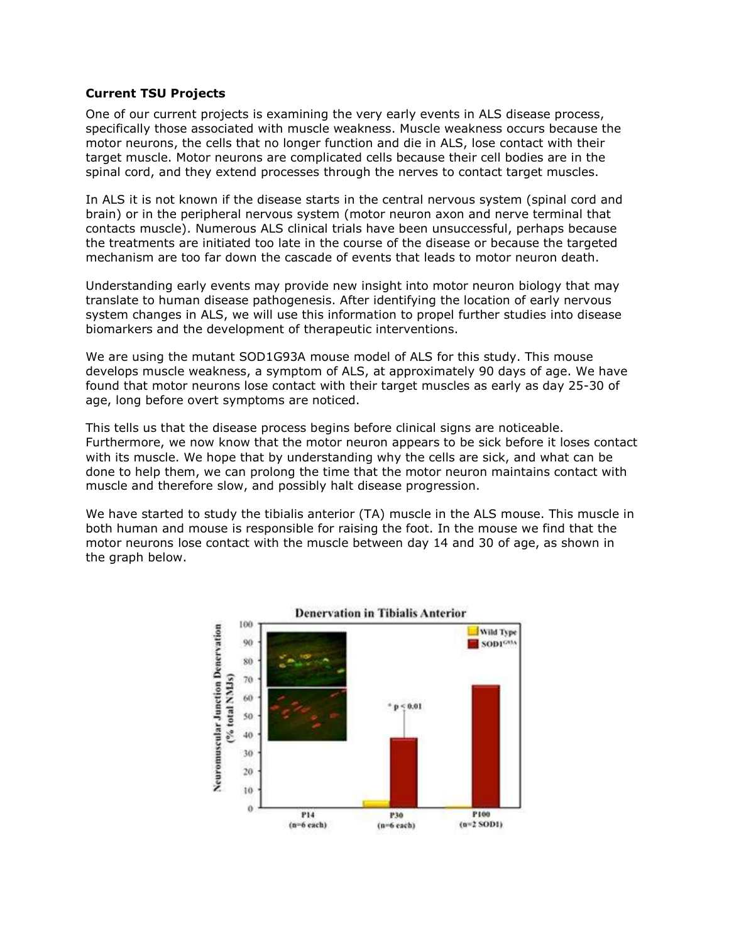## Current TSU Projects

One of our current projects is examining the very early events in ALS disease process, specifically those associated with muscle weakness. Muscle weakness occurs because the motor neurons, the cells that no longer function and die in ALS, lose contact with their target muscle. Motor neurons are complicated cells because their cell bodies are in the spinal cord, and they extend processes through the nerves to contact target muscles.

In ALS it is not known if the disease starts in the central nervous system (spinal cord and brain) or in the peripheral nervous system (motor neuron axon and nerve terminal that contacts muscle). Numerous ALS clinical trials have been unsuccessful, perhaps because the treatments are initiated too late in the course of the disease or because the targeted mechanism are too far down the cascade of events that leads to motor neuron death.

Understanding early events may provide new insight into motor neuron biology that may translate to human disease pathogenesis. After identifying the location of early nervous system changes in ALS, we will use this information to propel further studies into disease biomarkers and the development of therapeutic interventions.

We are using the mutant SOD1G93A mouse model of ALS for this study. This mouse develops muscle weakness, a symptom of ALS, at approximately 90 days of age. We have found that motor neurons lose contact with their target muscles as early as day 25-30 of age, long before overt symptoms are noticed.

This tells us that the disease process begins before clinical signs are noticeable. Furthermore, we now know that the motor neuron appears to be sick before it loses contact with its muscle. We hope that by understanding why the cells are sick, and what can be done to help them, we can prolong the time that the motor neuron maintains contact with muscle and therefore slow, and possibly halt disease progression.

We have started to study the tibialis anterior (TA) muscle in the ALS mouse. This muscle in both human and mouse is responsible for raising the foot. In the mouse we find that the motor neurons lose contact with the muscle between day 14 and 30 of age, as shown in the graph below.

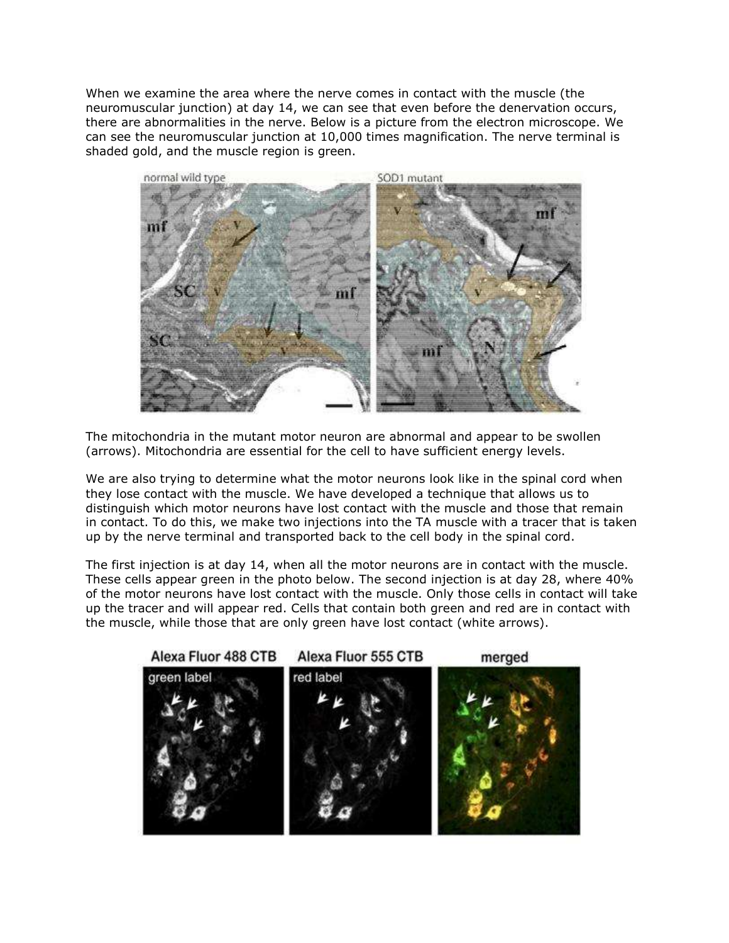When we examine the area where the nerve comes in contact with the muscle (the neuromuscular junction) at day 14, we can see that even before the denervation occurs, there are abnormalities in the nerve. Below is a picture from the electron microscope. We can see the neuromuscular junction at 10,000 times magnification. The nerve terminal is shaded gold, and the muscle region is green.



The mitochondria in the mutant motor neuron are abnormal and appear to be swollen (arrows). Mitochondria are essential for the cell to have sufficient energy levels.

We are also trying to determine what the motor neurons look like in the spinal cord when they lose contact with the muscle. We have developed a technique that allows us to distinguish which motor neurons have lost contact with the muscle and those that remain in contact. To do this, we make two injections into the TA muscle with a tracer that is taken up by the nerve terminal and transported back to the cell body in the spinal cord.

The first injection is at day 14, when all the motor neurons are in contact with the muscle. These cells appear green in the photo below. The second injection is at day 28, where 40% of the motor neurons have lost contact with the muscle. Only those cells in contact will take up the tracer and will appear red. Cells that contain both green and red are in contact with the muscle, while those that are only green have lost contact (white arrows).

Alexa Fluor 488 CTB

Alexa Fluor 555 CTB

merged